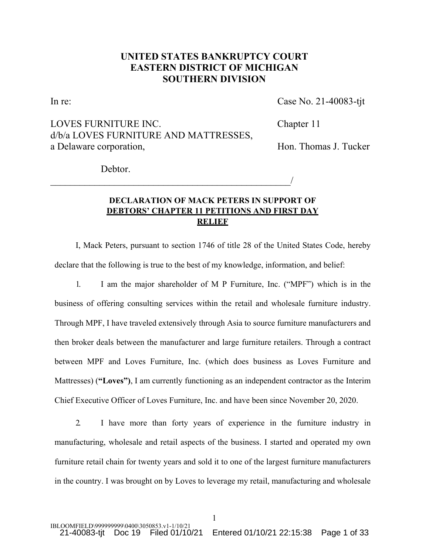# **UNITED STATES BANKRUPTCY COURT EASTERN DISTRICT OF MICHIGAN SOUTHERN DIVISION**

In re: Case No. 21-40083-tjt

LOVES FURNITURE INC. Chapter 11 d/b/a LOVES FURNITURE AND MATTRESSES, a Delaware corporation, and the Hon. Thomas J. Tucker

 $\overline{\phantom{a}}$ 

Debtor.

# **DECLARATION OF MACK PETERS IN SUPPORT OF DEBTORS' CHAPTER 11 PETITIONS AND FIRST DAY RELIEF**

I, Mack Peters, pursuant to section 1746 of title 28 of the United States Code, hereby declare that the following is true to the best of my knowledge, information, and belief:

1. I am the major shareholder of M P Furniture, Inc. ("MPF") which is in the business of offering consulting services within the retail and wholesale furniture industry. Through MPF, I have traveled extensively through Asia to source furniture manufacturers and then broker deals between the manufacturer and large furniture retailers. Through a contract between MPF and Loves Furniture, Inc. (which does business as Loves Furniture and Mattresses) (**"Loves")**, I am currently functioning as an independent contractor as the Interim Chief Executive Officer of Loves Furniture, Inc. and have been since November 20, 2020.

2. I have more than forty years of experience in the furniture industry in manufacturing, wholesale and retail aspects of the business. I started and operated my own furniture retail chain for twenty years and sold it to one of the largest furniture manufacturers in the country. I was brought on by Loves to leverage my retail, manufacturing and wholesale

1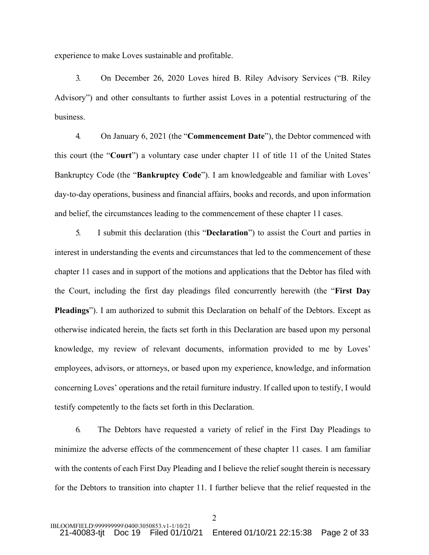experience to make Loves sustainable and profitable.

3. On December 26, 2020 Loves hired B. Riley Advisory Services ("B. Riley Advisory") and other consultants to further assist Loves in a potential restructuring of the business.

4. On January 6, 2021 (the "**Commencement Date**"), the Debtor commenced with this court (the "**Court**") a voluntary case under chapter 11 of title 11 of the United States Bankruptcy Code (the "**Bankruptcy Code**"). I am knowledgeable and familiar with Loves' day-to-day operations, business and financial affairs, books and records, and upon information and belief, the circumstances leading to the commencement of these chapter 11 cases.

5. I submit this declaration (this "**Declaration**") to assist the Court and parties in interest in understanding the events and circumstances that led to the commencement of these chapter 11 cases and in support of the motions and applications that the Debtor has filed with the Court, including the first day pleadings filed concurrently herewith (the "**First Day Pleadings**"). I am authorized to submit this Declaration on behalf of the Debtors. Except as otherwise indicated herein, the facts set forth in this Declaration are based upon my personal knowledge, my review of relevant documents, information provided to me by Loves' employees, advisors, or attorneys, or based upon my experience, knowledge, and information concerning Loves' operations and the retail furniture industry. If called upon to testify, I would testify competently to the facts set forth in this Declaration.

6. The Debtors have requested a variety of relief in the First Day Pleadings to minimize the adverse effects of the commencement of these chapter 11 cases. I am familiar with the contents of each First Day Pleading and I believe the relief sought therein is necessary for the Debtors to transition into chapter 11. I further believe that the relief requested in the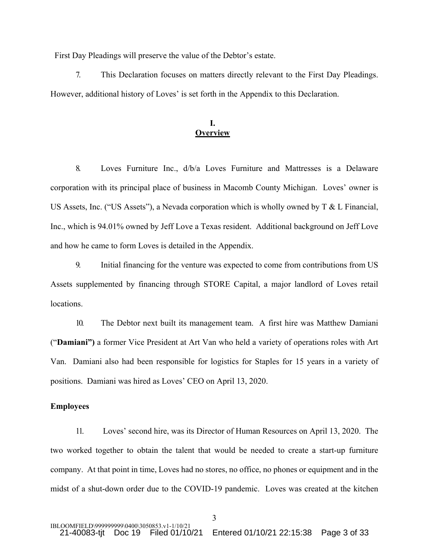First Day Pleadings will preserve the value of the Debtor's estate.

7. This Declaration focuses on matters directly relevant to the First Day Pleadings. However, additional history of Loves' is set forth in the Appendix to this Declaration.

## **I. Overview**

8. Loves Furniture Inc., d/b/a Loves Furniture and Mattresses is a Delaware corporation with its principal place of business in Macomb County Michigan. Loves' owner is US Assets, Inc. ("US Assets"), a Nevada corporation which is wholly owned by T & L Financial, Inc., which is 94.01% owned by Jeff Love a Texas resident. Additional background on Jeff Love and how he came to form Loves is detailed in the Appendix.

9. Initial financing for the venture was expected to come from contributions from US Assets supplemented by financing through STORE Capital, a major landlord of Loves retail locations.

10. The Debtor next built its management team. A first hire was Matthew Damiani ("**Damiani")** a former Vice President at Art Van who held a variety of operations roles with Art Van. Damiani also had been responsible for logistics for Staples for 15 years in a variety of positions. Damiani was hired as Loves' CEO on April 13, 2020.

### **Employees**

11. Loves' second hire, was its Director of Human Resources on April 13, 2020. The two worked together to obtain the talent that would be needed to create a start-up furniture company. At that point in time, Loves had no stores, no office, no phones or equipment and in the midst of a shut-down order due to the COVID-19 pandemic. Loves was created at the kitchen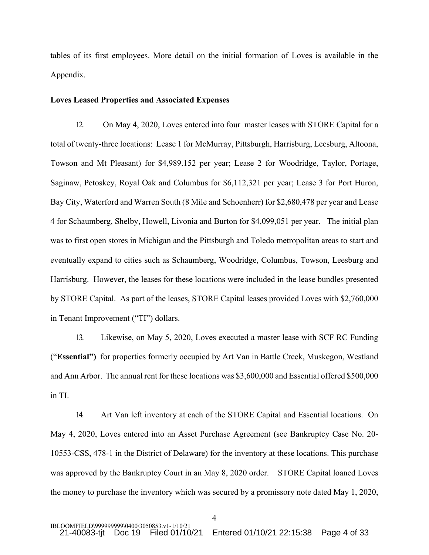tables of its first employees. More detail on the initial formation of Loves is available in the Appendix.

### **Loves Leased Properties and Associated Expenses**

12. On May 4, 2020, Loves entered into four master leases with STORE Capital for a total of twenty-three locations: Lease 1 for McMurray, Pittsburgh, Harrisburg, Leesburg, Altoona, Towson and Mt Pleasant) for \$4,989.152 per year; Lease 2 for Woodridge, Taylor, Portage, Saginaw, Petoskey, Royal Oak and Columbus for \$6,112,321 per year; Lease 3 for Port Huron, Bay City, Waterford and Warren South (8 Mile and Schoenherr) for \$2,680,478 per year and Lease 4 for Schaumberg, Shelby, Howell, Livonia and Burton for \$4,099,051 per year. The initial plan was to first open stores in Michigan and the Pittsburgh and Toledo metropolitan areas to start and eventually expand to cities such as Schaumberg, Woodridge, Columbus, Towson, Leesburg and Harrisburg. However, the leases for these locations were included in the lease bundles presented by STORE Capital. As part of the leases, STORE Capital leases provided Loves with \$2,760,000 in Tenant Improvement ("TI") dollars.

13. Likewise, on May 5, 2020, Loves executed a master lease with SCF RC Funding ("**Essential")** for properties formerly occupied by Art Van in Battle Creek, Muskegon, Westland and Ann Arbor. The annual rent for these locations was \$3,600,000 and Essential offered \$500,000 in TI.

14. Art Van left inventory at each of the STORE Capital and Essential locations. On May 4, 2020, Loves entered into an Asset Purchase Agreement (see Bankruptcy Case No. 20- 10553-CSS, 478-1 in the District of Delaware) for the inventory at these locations. This purchase was approved by the Bankruptcy Court in an May 8, 2020 order. STORE Capital loaned Loves the money to purchase the inventory which was secured by a promissory note dated May 1, 2020,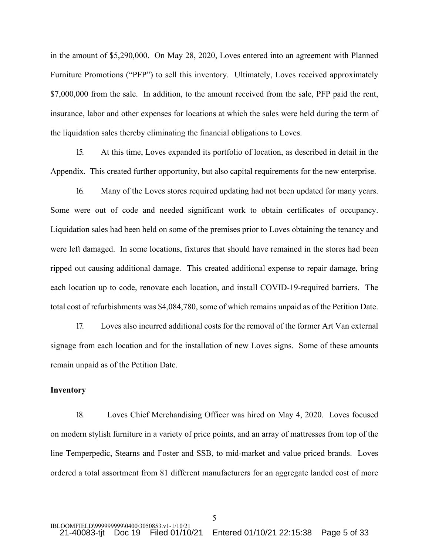in the amount of \$5,290,000. On May 28, 2020, Loves entered into an agreement with Planned Furniture Promotions ("PFP") to sell this inventory. Ultimately, Loves received approximately \$7,000,000 from the sale. In addition, to the amount received from the sale, PFP paid the rent, insurance, labor and other expenses for locations at which the sales were held during the term of the liquidation sales thereby eliminating the financial obligations to Loves.

15. At this time, Loves expanded its portfolio of location, as described in detail in the Appendix. This created further opportunity, but also capital requirements for the new enterprise.

16. Many of the Loves stores required updating had not been updated for many years. Some were out of code and needed significant work to obtain certificates of occupancy. Liquidation sales had been held on some of the premises prior to Loves obtaining the tenancy and were left damaged. In some locations, fixtures that should have remained in the stores had been ripped out causing additional damage. This created additional expense to repair damage, bring each location up to code, renovate each location, and install COVID-19-required barriers. The total cost of refurbishments was \$4,084,780, some of which remains unpaid as of the Petition Date.

17. Loves also incurred additional costs for the removal of the former Art Van external signage from each location and for the installation of new Loves signs. Some of these amounts remain unpaid as of the Petition Date.

#### **Inventory**

18. Loves Chief Merchandising Officer was hired on May 4, 2020. Loves focused on modern stylish furniture in a variety of price points, and an array of mattresses from top of the line Temperpedic, Stearns and Foster and SSB, to mid-market and value priced brands. Loves ordered a total assortment from 81 different manufacturers for an aggregate landed cost of more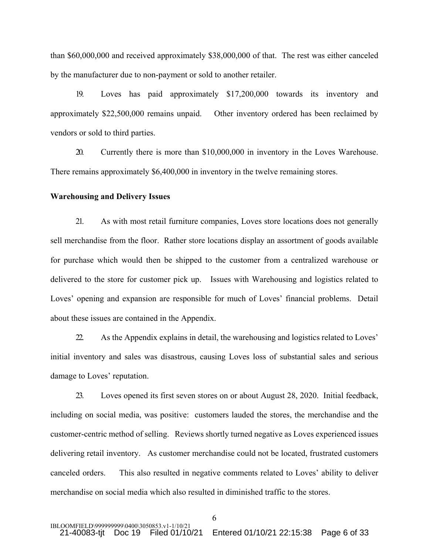than \$60,000,000 and received approximately \$38,000,000 of that. The rest was either canceled by the manufacturer due to non-payment or sold to another retailer.

19. Loves has paid approximately \$17,200,000 towards its inventory and approximately \$22,500,000 remains unpaid. Other inventory ordered has been reclaimed by vendors or sold to third parties.

20. Currently there is more than \$10,000,000 in inventory in the Loves Warehouse. There remains approximately \$6,400,000 in inventory in the twelve remaining stores.

#### **Warehousing and Delivery Issues**

21. As with most retail furniture companies, Loves store locations does not generally sell merchandise from the floor. Rather store locations display an assortment of goods available for purchase which would then be shipped to the customer from a centralized warehouse or delivered to the store for customer pick up. Issues with Warehousing and logistics related to Loves' opening and expansion are responsible for much of Loves' financial problems. Detail about these issues are contained in the Appendix.

22. As the Appendix explains in detail, the warehousing and logistics related to Loves' initial inventory and sales was disastrous, causing Loves loss of substantial sales and serious damage to Loves' reputation.

23. Loves opened its first seven stores on or about August 28, 2020. Initial feedback, including on social media, was positive: customers lauded the stores, the merchandise and the customer-centric method of selling. Reviews shortly turned negative as Loves experienced issues delivering retail inventory. As customer merchandise could not be located, frustrated customers canceled orders. This also resulted in negative comments related to Loves' ability to deliver merchandise on social media which also resulted in diminished traffic to the stores.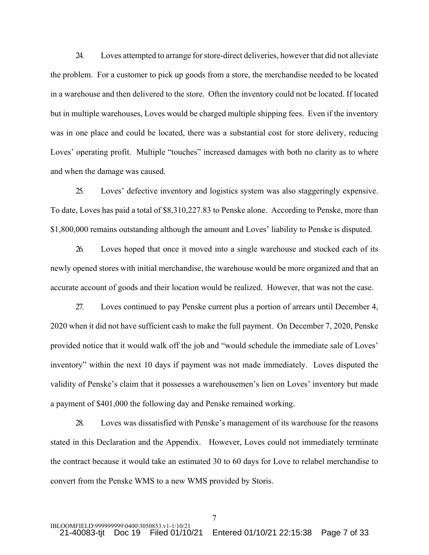24. Loves attempted to arrange for store-direct deliveries, however that did not alleviate the problem. For a customer to pick up goods from a store, the merchandise needed to be located in a warehouse and then delivered to the store. Often the inventory could not be located. If located but in multiple warehouses, Loves would be charged multiple shipping fees. Even if the inventory was in one place and could be located, there was a substantial cost for store delivery, reducing Loves' operating profit. Multiple "touches" increased damages with both no clarity as to where and when the damage was caused.

25. Loves' defective inventory and logistics system was also staggeringly expensive. To date, Loves has paid a total of \$8,310,227.83 to Penske alone. According to Penske, more than \$1,800,000 remains outstanding although the amount and Loves' liability to Penske is disputed.

26. Loves hoped that once it moved into a single warehouse and stocked each of its newly opened stores with initial merchandise, the warehouse would be more organized and that an accurate account of goods and their location would be realized. However, that was not the case.

27. Loves continued to pay Penske current plus a portion of arrears until December 4, 2020 when it did not have sufficient cash to make the full payment. On December 7, 2020, Penske provided notice that it would walk off the job and "would schedule the immediate sale of Loves' inventory" within the next 10 days if payment was not made immediately. Loves disputed the validity of Penske's claim that it possesses a warehousemen's lien on Loves' inventory but made a payment of \$401,000 the following day and Penske remained working.

28. Loves was dissatisfied with Penske's management of its warehouse for the reasons stated in this Declaration and the Appendix. However, Loves could not immediately terminate the contract because it would take an estimated 30 to 60 days for Love to relabel merchandise to convert from the Penske WMS to a new WMS provided by Storis.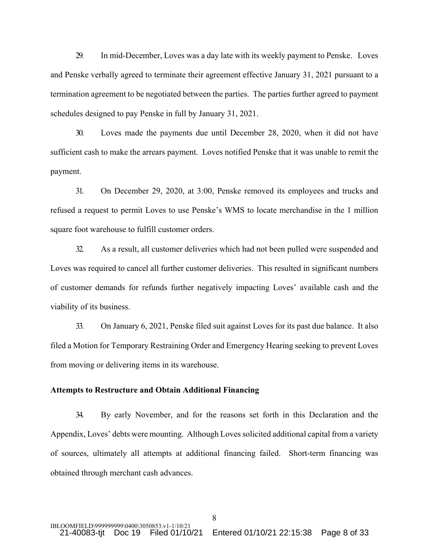29. In mid-December, Loves was a day late with its weekly payment to Penske. Loves and Penske verbally agreed to terminate their agreement effective January 31, 2021 pursuant to a termination agreement to be negotiated between the parties. The parties further agreed to payment schedules designed to pay Penske in full by January 31, 2021.

30. Loves made the payments due until December 28, 2020, when it did not have sufficient cash to make the arrears payment. Loves notified Penske that it was unable to remit the payment.

31. On December 29, 2020, at 3:00, Penske removed its employees and trucks and refused a request to permit Loves to use Penske's WMS to locate merchandise in the 1 million square foot warehouse to fulfill customer orders.

32. As a result, all customer deliveries which had not been pulled were suspended and Loves was required to cancel all further customer deliveries. This resulted in significant numbers of customer demands for refunds further negatively impacting Loves' available cash and the viability of its business.

33. On January 6, 2021, Penske filed suit against Loves for its past due balance. It also filed a Motion for Temporary Restraining Order and Emergency Hearing seeking to prevent Loves from moving or delivering items in its warehouse.

#### **Attempts to Restructure and Obtain Additional Financing**

34. By early November, and for the reasons set forth in this Declaration and the Appendix, Loves' debts were mounting. Although Loves solicited additional capital from a variety of sources, ultimately all attempts at additional financing failed. Short-term financing was obtained through merchant cash advances.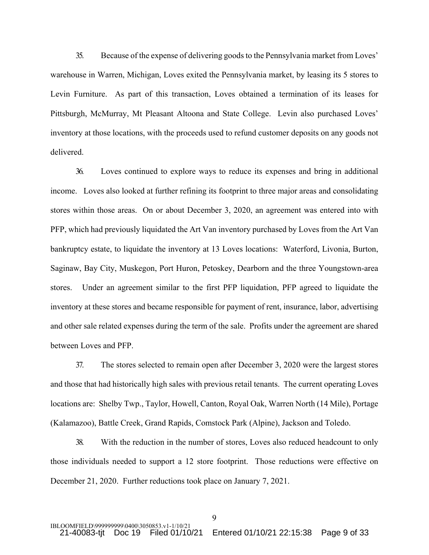35. Because of the expense of delivering goods to the Pennsylvania market from Loves' warehouse in Warren, Michigan, Loves exited the Pennsylvania market, by leasing its 5 stores to Levin Furniture. As part of this transaction, Loves obtained a termination of its leases for Pittsburgh, McMurray, Mt Pleasant Altoona and State College. Levin also purchased Loves' inventory at those locations, with the proceeds used to refund customer deposits on any goods not delivered.

36. Loves continued to explore ways to reduce its expenses and bring in additional income. Loves also looked at further refining its footprint to three major areas and consolidating stores within those areas. On or about December 3, 2020, an agreement was entered into with PFP, which had previously liquidated the Art Van inventory purchased by Loves from the Art Van bankruptcy estate, to liquidate the inventory at 13 Loves locations: Waterford, Livonia, Burton, Saginaw, Bay City, Muskegon, Port Huron, Petoskey, Dearborn and the three Youngstown-area stores. Under an agreement similar to the first PFP liquidation, PFP agreed to liquidate the inventory at these stores and became responsible for payment of rent, insurance, labor, advertising and other sale related expenses during the term of the sale. Profits under the agreement are shared between Loves and PFP.

37. The stores selected to remain open after December 3, 2020 were the largest stores and those that had historically high sales with previous retail tenants. The current operating Loves locations are: Shelby Twp., Taylor, Howell, Canton, Royal Oak, Warren North (14 Mile), Portage (Kalamazoo), Battle Creek, Grand Rapids, Comstock Park (Alpine), Jackson and Toledo.

38. With the reduction in the number of stores, Loves also reduced headcount to only those individuals needed to support a 12 store footprint. Those reductions were effective on December 21, 2020. Further reductions took place on January 7, 2021.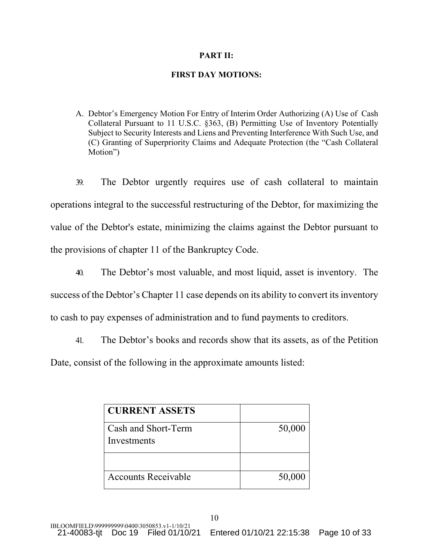## **PART II:**

## **FIRST DAY MOTIONS:**

A. Debtor's Emergency Motion For Entry of Interim Order Authorizing (A) Use of Cash Collateral Pursuant to 11 U.S.C. §363, (B) Permitting Use of Inventory Potentially Subject to Security Interests and Liens and Preventing Interference With Such Use, and (C) Granting of Superpriority Claims and Adequate Protection (the "Cash Collateral Motion")

39. The Debtor urgently requires use of cash collateral to maintain operations integral to the successful restructuring of the Debtor, for maximizing the value of the Debtor's estate, minimizing the claims against the Debtor pursuant to the provisions of chapter 11 of the Bankruptcy Code.

40. The Debtor's most valuable, and most liquid, asset is inventory. The success of the Debtor's Chapter 11 case depends on its ability to convert its inventory to cash to pay expenses of administration and to fund payments to creditors.

41. The Debtor's books and records show that its assets, as of the Petition Date, consist of the following in the approximate amounts listed:

| <b>CURRENT ASSETS</b>      |        |
|----------------------------|--------|
| Cash and Short-Term        | 50,000 |
| Investments                |        |
|                            |        |
| <b>Accounts Receivable</b> | 50,000 |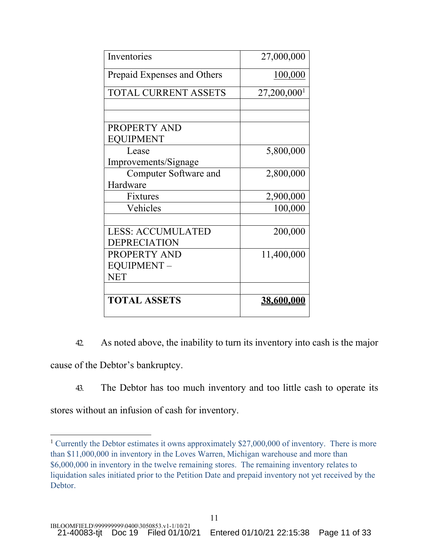| Inventories                 | 27,000,000                |
|-----------------------------|---------------------------|
| Prepaid Expenses and Others | 100,000                   |
| TOTAL CURRENT ASSETS        | $27,200,000$ <sup>1</sup> |
|                             |                           |
|                             |                           |
| PROPERTY AND                |                           |
| <b>EQUIPMENT</b>            |                           |
| Lease                       | 5,800,000                 |
| Improvements/Signage        |                           |
| Computer Software and       | 2,800,000                 |
| Hardware                    |                           |
| Fixtures                    | 2,900,000                 |
| Vehicles                    | 100,000                   |
|                             |                           |
| <b>LESS: ACCUMULATED</b>    | 200,000                   |
| <b>DEPRECIATION</b>         |                           |
| PROPERTY AND                | 11,400,000                |
| EQUIPMENT-                  |                           |
| NET                         |                           |
|                             |                           |
| <b>TOTAL ASSETS</b>         | <u>38,600,000</u>         |

42. As noted above, the inability to turn its inventory into cash is the major cause of the Debtor's bankruptcy.

43. The Debtor has too much inventory and too little cash to operate its

stores without an infusion of cash for inventory.

<sup>&</sup>lt;sup>1</sup> Currently the Debtor estimates it owns approximately \$27,000,000 of inventory. There is more than \$11,000,000 in inventory in the Loves Warren, Michigan warehouse and more than \$6,000,000 in inventory in the twelve remaining stores. The remaining inventory relates to liquidation sales initiated prior to the Petition Date and prepaid inventory not yet received by the Debtor.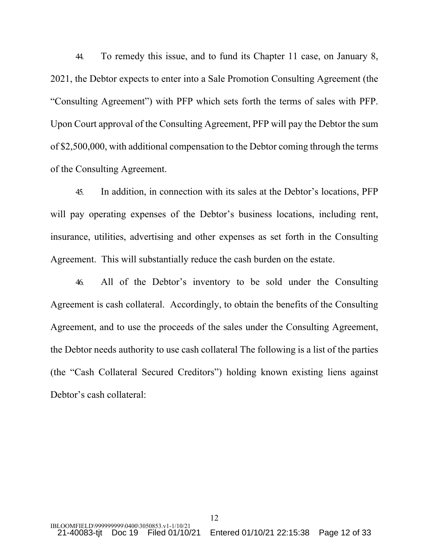44. To remedy this issue, and to fund its Chapter 11 case, on January 8, 2021, the Debtor expects to enter into a Sale Promotion Consulting Agreement (the "Consulting Agreement") with PFP which sets forth the terms of sales with PFP. Upon Court approval of the Consulting Agreement, PFP will pay the Debtor the sum of \$2,500,000, with additional compensation to the Debtor coming through the terms of the Consulting Agreement.

45. In addition, in connection with its sales at the Debtor's locations, PFP will pay operating expenses of the Debtor's business locations, including rent, insurance, utilities, advertising and other expenses as set forth in the Consulting Agreement. This will substantially reduce the cash burden on the estate.

46. All of the Debtor's inventory to be sold under the Consulting Agreement is cash collateral. Accordingly, to obtain the benefits of the Consulting Agreement, and to use the proceeds of the sales under the Consulting Agreement, the Debtor needs authority to use cash collateral The following is a list of the parties (the "Cash Collateral Secured Creditors") holding known existing liens against Debtor's cash collateral: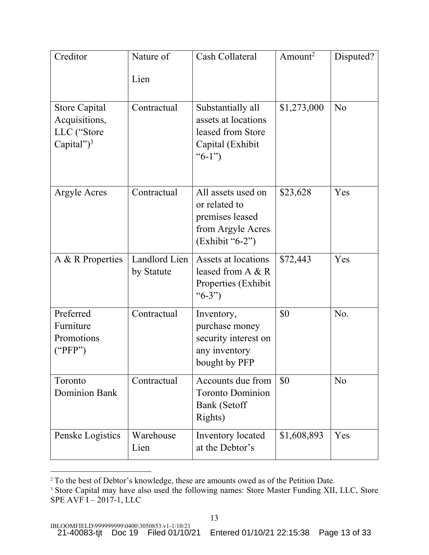| Creditor                                                               | Nature of                   | Cash Collateral                                                                                  | Amount <sup>2</sup> | Disputed?      |
|------------------------------------------------------------------------|-----------------------------|--------------------------------------------------------------------------------------------------|---------------------|----------------|
|                                                                        | Lien                        |                                                                                                  |                     |                |
| <b>Store Capital</b><br>Acquisitions,<br>LLC ("Store<br>Capital") $^3$ | Contractual                 | Substantially all<br>assets at locations<br>leased from Store<br>Capital (Exhibit<br>" $6-1"$    | \$1,273,000         | N <sub>o</sub> |
| Argyle Acres                                                           | Contractual                 | All assets used on<br>or related to<br>premises leased<br>from Argyle Acres<br>$(Exhibit "6-2")$ | \$23,628            | Yes            |
| A & R Properties                                                       | Landlord Lien<br>by Statute | Assets at locations<br>leased from A & R<br>Properties (Exhibit<br>" $6-3"$ )                    | \$72,443            | Yes            |
| Preferred<br>Furniture<br>Promotions<br>("PFP")                        | Contractual                 | Inventory,<br>purchase money<br>security interest on<br>any inventory<br>bought by PFP           | \$0                 | No.            |
| Toronto<br><b>Dominion Bank</b>                                        | Contractual                 | Accounts due from<br><b>Toronto Dominion</b><br>Bank (Setoff<br>Rights)                          | \$0                 | N <sub>o</sub> |
| Penske Logistics                                                       | Warehouse<br>Lien           | Inventory located<br>at the Debtor's                                                             | \$1,608,893         | Yes            |

<sup>&</sup>lt;sup>2</sup> To the best of Debtor's knowledge, these are amounts owed as of the Petition Date.

<sup>&</sup>lt;sup>3</sup> Store Capital may have also used the following names: Store Master Funding XII, LLC, Store SPE AVF I – 2017-1, LLC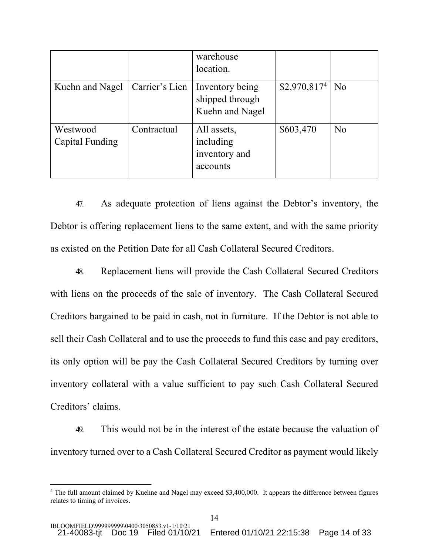|                             |                | warehouse<br>location.                                |                |                |
|-----------------------------|----------------|-------------------------------------------------------|----------------|----------------|
| Kuehn and Nagel             | Carrier's Lien | Inventory being<br>shipped through<br>Kuehn and Nagel | $$2,970,817^4$ | N <sub>o</sub> |
| Westwood<br>Capital Funding | Contractual    | All assets,<br>including<br>inventory and<br>accounts | \$603,470      | N <sub>o</sub> |

47. As adequate protection of liens against the Debtor's inventory, the Debtor is offering replacement liens to the same extent, and with the same priority as existed on the Petition Date for all Cash Collateral Secured Creditors.

48. Replacement liens will provide the Cash Collateral Secured Creditors with liens on the proceeds of the sale of inventory. The Cash Collateral Secured Creditors bargained to be paid in cash, not in furniture. If the Debtor is not able to sell their Cash Collateral and to use the proceeds to fund this case and pay creditors, its only option will be pay the Cash Collateral Secured Creditors by turning over inventory collateral with a value sufficient to pay such Cash Collateral Secured Creditors' claims.

49. This would not be in the interest of the estate because the valuation of inventory turned over to a Cash Collateral Secured Creditor as payment would likely

<sup>&</sup>lt;sup>4</sup> The full amount claimed by Kuehne and Nagel may exceed \$3,400,000. It appears the difference between figures relates to timing of invoices.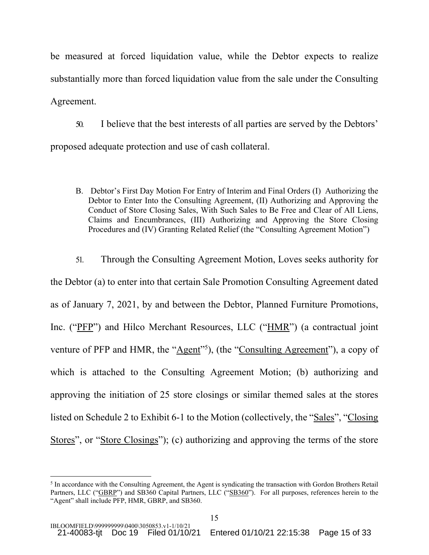be measured at forced liquidation value, while the Debtor expects to realize substantially more than forced liquidation value from the sale under the Consulting Agreement.

50. I believe that the best interests of all parties are served by the Debtors' proposed adequate protection and use of cash collateral.

B. Debtor's First Day Motion For Entry of Interim and Final Orders (I) Authorizing the Debtor to Enter Into the Consulting Agreement, (II) Authorizing and Approving the Conduct of Store Closing Sales, With Such Sales to Be Free and Clear of All Liens, Claims and Encumbrances, (III) Authorizing and Approving the Store Closing Procedures and (IV) Granting Related Relief (the "Consulting Agreement Motion")

51. Through the Consulting Agreement Motion, Loves seeks authority for the Debtor (a) to enter into that certain Sale Promotion Consulting Agreement dated as of January 7, 2021, by and between the Debtor, Planned Furniture Promotions, Inc. ("PFP") and Hilco Merchant Resources, LLC ("HMR") (a contractual joint venture of PFP and HMR, the "Agent"<sup>5</sup>), (the "Consulting Agreement"), a copy of which is attached to the Consulting Agreement Motion; (b) authorizing and approving the initiation of 25 store closings or similar themed sales at the stores listed on Schedule 2 to Exhibit 6-1 to the Motion (collectively, the "Sales", "Closing Stores", or "Store Closings"); (c) authorizing and approving the terms of the store

<sup>&</sup>lt;sup>5</sup> In accordance with the Consulting Agreement, the Agent is syndicating the transaction with Gordon Brothers Retail Partners, LLC ("GBRP") and SB360 Capital Partners, LLC ("SB360"). For all purposes, references herein to the "Agent" shall include PFP, HMR, GBRP, and SB360.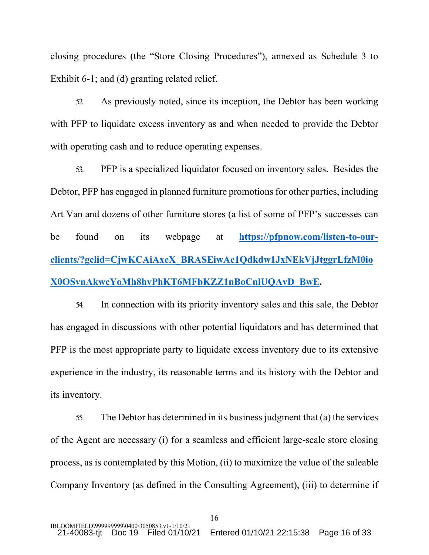closing procedures (the "Store Closing Procedures"), annexed as Schedule 3 to Exhibit 6-1; and (d) granting related relief.

52. As previously noted, since its inception, the Debtor has been working with PFP to liquidate excess inventory as and when needed to provide the Debtor with operating cash and to reduce operating expenses.

53. PFP is a specialized liquidator focused on inventory sales. Besides the Debtor, PFP has engaged in planned furniture promotions for other parties, including Art Van and dozens of other furniture stores (a list of some of PFP's successes can be found on its webpage at **https://pfpnow.com/listen-to-ourclients/?gclid=CjwKCAiAxeX\_BRASEiwAc1Qdkdw1JxNEkVjJtggrLfzM0io X0OSvnAkwcYoMh8hvPhKT6MFbKZZ1nBoCnlUQAvD\_BwE.**

54. In connection with its priority inventory sales and this sale, the Debtor has engaged in discussions with other potential liquidators and has determined that PFP is the most appropriate party to liquidate excess inventory due to its extensive experience in the industry, its reasonable terms and its history with the Debtor and its inventory.

55. The Debtor has determined in its business judgment that (a) the services of the Agent are necessary (i) for a seamless and efficient large-scale store closing process, as is contemplated by this Motion, (ii) to maximize the value of the saleable Company Inventory (as defined in the Consulting Agreement), (iii) to determine if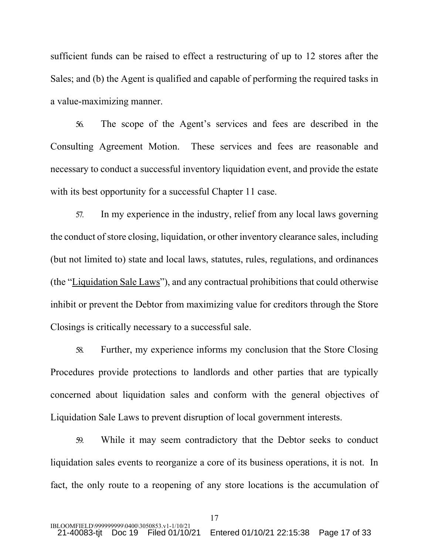sufficient funds can be raised to effect a restructuring of up to 12 stores after the Sales; and (b) the Agent is qualified and capable of performing the required tasks in a value-maximizing manner.

56. The scope of the Agent's services and fees are described in the Consulting Agreement Motion. These services and fees are reasonable and necessary to conduct a successful inventory liquidation event, and provide the estate with its best opportunity for a successful Chapter 11 case.

57. In my experience in the industry, relief from any local laws governing the conduct of store closing, liquidation, or other inventory clearance sales, including (but not limited to) state and local laws, statutes, rules, regulations, and ordinances (the "Liquidation Sale Laws"), and any contractual prohibitions that could otherwise inhibit or prevent the Debtor from maximizing value for creditors through the Store Closings is critically necessary to a successful sale.

58. Further, my experience informs my conclusion that the Store Closing Procedures provide protections to landlords and other parties that are typically concerned about liquidation sales and conform with the general objectives of Liquidation Sale Laws to prevent disruption of local government interests.

59. While it may seem contradictory that the Debtor seeks to conduct liquidation sales events to reorganize a core of its business operations, it is not. In fact, the only route to a reopening of any store locations is the accumulation of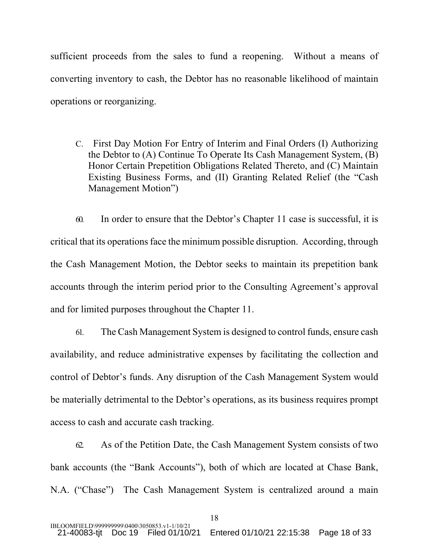sufficient proceeds from the sales to fund a reopening. Without a means of converting inventory to cash, the Debtor has no reasonable likelihood of maintain operations or reorganizing.

C. First Day Motion For Entry of Interim and Final Orders (I) Authorizing the Debtor to (A) Continue To Operate Its Cash Management System, (B) Honor Certain Prepetition Obligations Related Thereto, and (C) Maintain Existing Business Forms, and (II) Granting Related Relief (the "Cash Management Motion")

60. In order to ensure that the Debtor's Chapter 11 case is successful, it is critical that its operations face the minimum possible disruption. According, through the Cash Management Motion, the Debtor seeks to maintain its prepetition bank accounts through the interim period prior to the Consulting Agreement's approval and for limited purposes throughout the Chapter 11.

61. The Cash Management System is designed to control funds, ensure cash availability, and reduce administrative expenses by facilitating the collection and control of Debtor's funds. Any disruption of the Cash Management System would be materially detrimental to the Debtor's operations, as its business requires prompt access to cash and accurate cash tracking.

62. As of the Petition Date, the Cash Management System consists of two bank accounts (the "Bank Accounts"), both of which are located at Chase Bank, N.A. ("Chase") The Cash Management System is centralized around a main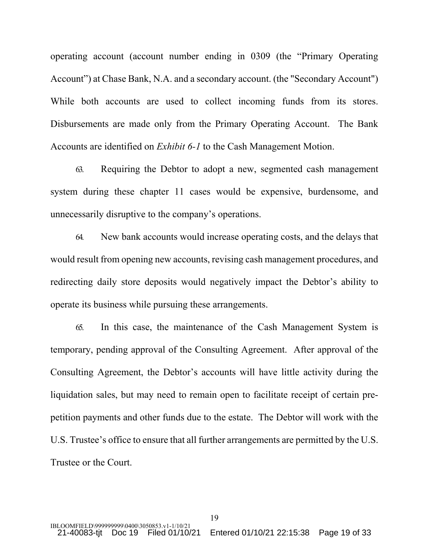operating account (account number ending in 0309 (the "Primary Operating Account") at Chase Bank, N.A. and a secondary account. (the "Secondary Account") While both accounts are used to collect incoming funds from its stores. Disbursements are made only from the Primary Operating Account. The Bank Accounts are identified on *Exhibit 6-1* to the Cash Management Motion.

63. Requiring the Debtor to adopt a new, segmented cash management system during these chapter 11 cases would be expensive, burdensome, and unnecessarily disruptive to the company's operations.

64. New bank accounts would increase operating costs, and the delays that would result from opening new accounts, revising cash management procedures, and redirecting daily store deposits would negatively impact the Debtor's ability to operate its business while pursuing these arrangements.

65. In this case, the maintenance of the Cash Management System is temporary, pending approval of the Consulting Agreement. After approval of the Consulting Agreement, the Debtor's accounts will have little activity during the liquidation sales, but may need to remain open to facilitate receipt of certain prepetition payments and other funds due to the estate. The Debtor will work with the U.S. Trustee's office to ensure that all further arrangements are permitted by the U.S. Trustee or the Court.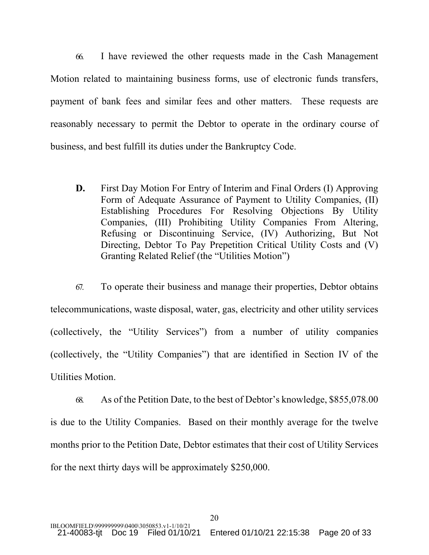66. I have reviewed the other requests made in the Cash Management Motion related to maintaining business forms, use of electronic funds transfers, payment of bank fees and similar fees and other matters. These requests are reasonably necessary to permit the Debtor to operate in the ordinary course of business, and best fulfill its duties under the Bankruptcy Code.

**D.** First Day Motion For Entry of Interim and Final Orders (I) Approving Form of Adequate Assurance of Payment to Utility Companies, (II) Establishing Procedures For Resolving Objections By Utility Companies, (III) Prohibiting Utility Companies From Altering, Refusing or Discontinuing Service, (IV) Authorizing, But Not Directing, Debtor To Pay Prepetition Critical Utility Costs and (V) Granting Related Relief (the "Utilities Motion")

67. To operate their business and manage their properties, Debtor obtains telecommunications, waste disposal, water, gas, electricity and other utility services (collectively, the "Utility Services") from a number of utility companies (collectively, the "Utility Companies") that are identified in Section IV of the Utilities Motion.

68. As of the Petition Date, to the best of Debtor's knowledge, \$855,078.00 is due to the Utility Companies. Based on their monthly average for the twelve months prior to the Petition Date, Debtor estimates that their cost of Utility Services for the next thirty days will be approximately \$250,000.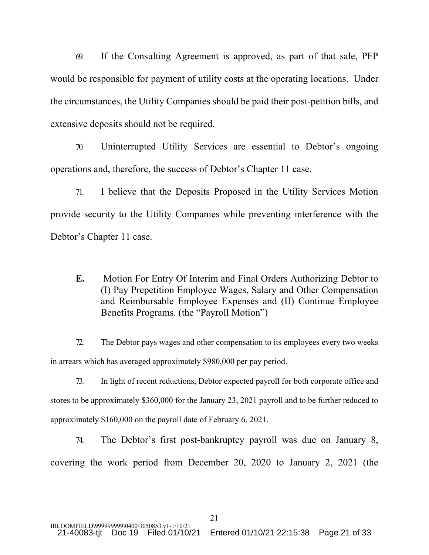69. If the Consulting Agreement is approved, as part of that sale, PFP would be responsible for payment of utility costs at the operating locations. Under the circumstances, the Utility Companies should be paid their post-petition bills, and extensive deposits should not be required.

70. Uninterrupted Utility Services are essential to Debtor's ongoing operations and, therefore, the success of Debtor's Chapter 11 case.

71. I believe that the Deposits Proposed in the Utility Services Motion provide security to the Utility Companies while preventing interference with the Debtor's Chapter 11 case.

**E.** Motion For Entry Of Interim and Final Orders Authorizing Debtor to (I) Pay Prepetition Employee Wages, Salary and Other Compensation and Reimbursable Employee Expenses and (II) Continue Employee Benefits Programs. (the "Payroll Motion")

72. The Debtor pays wages and other compensation to its employees every two weeks in arrears which has averaged approximately \$980,000 per pay period.

73. In light of recent reductions, Debtor expected payroll for both corporate office and stores to be approximately \$360,000 for the January 23, 2021 payroll and to be further reduced to approximately \$160,000 on the payroll date of February 6, 2021.

74. The Debtor's first post-bankruptcy payroll was due on January 8, covering the work period from December 20, 2020 to January 2, 2021 (the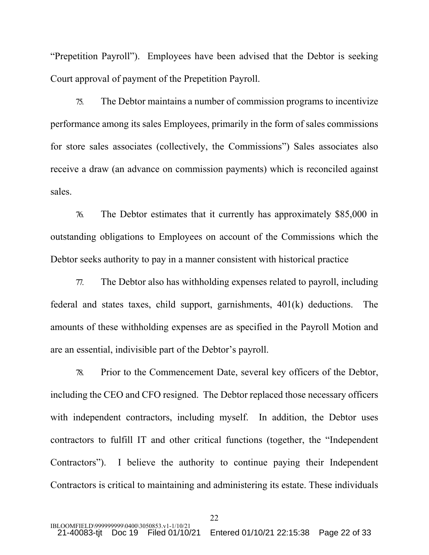"Prepetition Payroll"). Employees have been advised that the Debtor is seeking Court approval of payment of the Prepetition Payroll.

75. The Debtor maintains a number of commission programs to incentivize performance among its sales Employees, primarily in the form of sales commissions for store sales associates (collectively, the Commissions") Sales associates also receive a draw (an advance on commission payments) which is reconciled against sales.

76. The Debtor estimates that it currently has approximately \$85,000 in outstanding obligations to Employees on account of the Commissions which the Debtor seeks authority to pay in a manner consistent with historical practice

77. The Debtor also has withholding expenses related to payroll, including federal and states taxes, child support, garnishments, 401(k) deductions. The amounts of these withholding expenses are as specified in the Payroll Motion and are an essential, indivisible part of the Debtor's payroll.

78. Prior to the Commencement Date, several key officers of the Debtor, including the CEO and CFO resigned. The Debtor replaced those necessary officers with independent contractors, including myself. In addition, the Debtor uses contractors to fulfill IT and other critical functions (together, the "Independent Contractors"). I believe the authority to continue paying their Independent Contractors is critical to maintaining and administering its estate. These individuals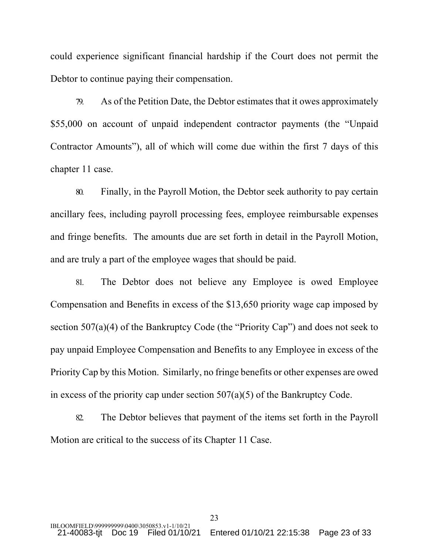could experience significant financial hardship if the Court does not permit the Debtor to continue paying their compensation.

79. As of the Petition Date, the Debtor estimates that it owes approximately \$55,000 on account of unpaid independent contractor payments (the "Unpaid Contractor Amounts"), all of which will come due within the first 7 days of this chapter 11 case.

80. Finally, in the Payroll Motion, the Debtor seek authority to pay certain ancillary fees, including payroll processing fees, employee reimbursable expenses and fringe benefits. The amounts due are set forth in detail in the Payroll Motion, and are truly a part of the employee wages that should be paid.

81. The Debtor does not believe any Employee is owed Employee Compensation and Benefits in excess of the \$13,650 priority wage cap imposed by section 507(a)(4) of the Bankruptcy Code (the "Priority Cap") and does not seek to pay unpaid Employee Compensation and Benefits to any Employee in excess of the Priority Cap by this Motion. Similarly, no fringe benefits or other expenses are owed in excess of the priority cap under section 507(a)(5) of the Bankruptcy Code.

82. The Debtor believes that payment of the items set forth in the Payroll Motion are critical to the success of its Chapter 11 Case.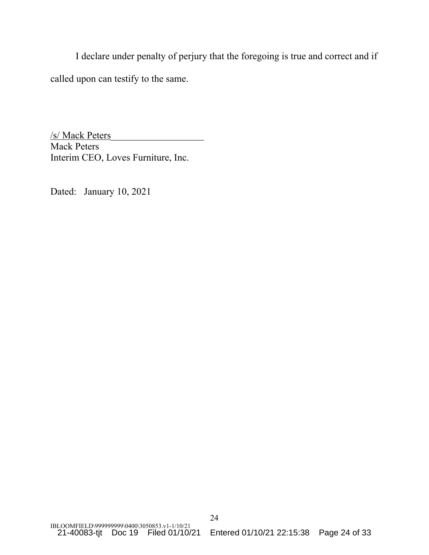I declare under penalty of perjury that the foregoing is true and correct and if called upon can testify to the same.

/s/ Mack Peters\_\_\_\_\_\_\_\_\_\_\_\_\_\_\_\_\_\_\_ Mack Peters Interim CEO, Loves Furniture, Inc.

Dated: January 10, 2021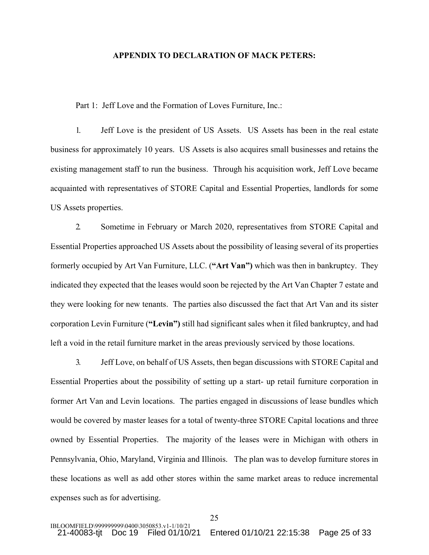#### **APPENDIX TO DECLARATION OF MACK PETERS:**

Part 1: Jeff Love and the Formation of Loves Furniture, Inc.:

1. Jeff Love is the president of US Assets. US Assets has been in the real estate business for approximately 10 years. US Assets is also acquires small businesses and retains the existing management staff to run the business. Through his acquisition work, Jeff Love became acquainted with representatives of STORE Capital and Essential Properties, landlords for some US Assets properties.

2. Sometime in February or March 2020, representatives from STORE Capital and Essential Properties approached US Assets about the possibility of leasing several of its properties formerly occupied by Art Van Furniture, LLC. (**"Art Van")** which was then in bankruptcy. They indicated they expected that the leases would soon be rejected by the Art Van Chapter 7 estate and they were looking for new tenants. The parties also discussed the fact that Art Van and its sister corporation Levin Furniture (**"Levin")** still had significant sales when it filed bankruptcy, and had left a void in the retail furniture market in the areas previously serviced by those locations.

3. Jeff Love, on behalf of US Assets, then began discussions with STORE Capital and Essential Properties about the possibility of setting up a start- up retail furniture corporation in former Art Van and Levin locations. The parties engaged in discussions of lease bundles which would be covered by master leases for a total of twenty-three STORE Capital locations and three owned by Essential Properties. The majority of the leases were in Michigan with others in Pennsylvania, Ohio, Maryland, Virginia and Illinois. The plan was to develop furniture stores in these locations as well as add other stores within the same market areas to reduce incremental expenses such as for advertising.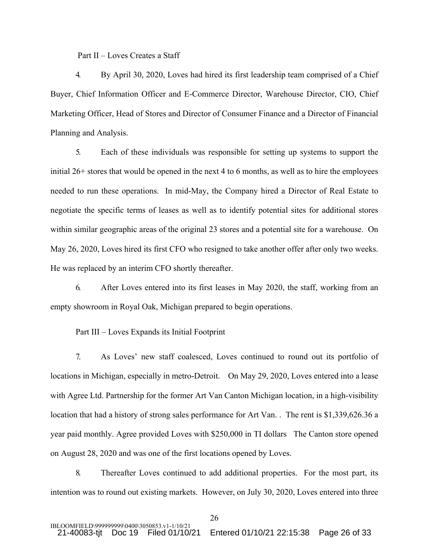Part II – Loves Creates a Staff

4. By April 30, 2020, Loves had hired its first leadership team comprised of a Chief Buyer, Chief Information Officer and E-Commerce Director, Warehouse Director, CIO, Chief Marketing Officer, Head of Stores and Director of Consumer Finance and a Director of Financial Planning and Analysis.

5. Each of these individuals was responsible for setting up systems to support the initial 26+ stores that would be opened in the next 4 to 6 months, as well as to hire the employees needed to run these operations. In mid-May, the Company hired a Director of Real Estate to negotiate the specific terms of leases as well as to identify potential sites for additional stores within similar geographic areas of the original 23 stores and a potential site for a warehouse. On May 26, 2020, Loves hired its first CFO who resigned to take another offer after only two weeks. He was replaced by an interim CFO shortly thereafter.

6. After Loves entered into its first leases in May 2020, the staff, working from an empty showroom in Royal Oak, Michigan prepared to begin operations.

Part III – Loves Expands its Initial Footprint

7. As Loves' new staff coalesced, Loves continued to round out its portfolio of locations in Michigan, especially in metro-Detroit. On May 29, 2020, Loves entered into a lease with Agree Ltd. Partnership for the former Art Van Canton Michigan location, in a high-visibility location that had a history of strong sales performance for Art Van. . The rent is \$1,339,626.36 a year paid monthly. Agree provided Loves with \$250,000 in TI dollars The Canton store opened on August 28, 2020 and was one of the first locations opened by Loves.

8. Thereafter Loves continued to add additional properties. For the most part, its intention was to round out existing markets. However, on July 30, 2020, Loves entered into three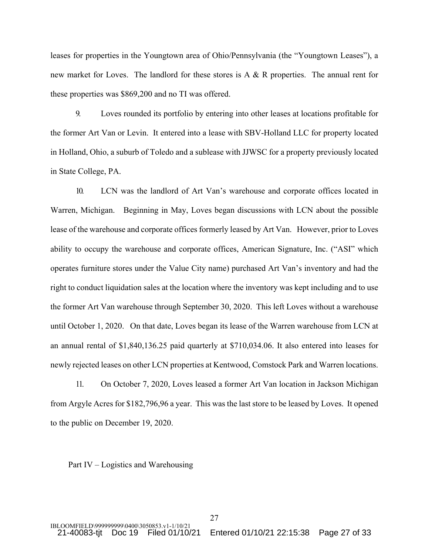leases for properties in the Youngtown area of Ohio/Pennsylvania (the "Youngtown Leases"), a new market for Loves. The landlord for these stores is  $A \& R$  properties. The annual rent for these properties was \$869,200 and no TI was offered.

9. Loves rounded its portfolio by entering into other leases at locations profitable for the former Art Van or Levin. It entered into a lease with SBV-Holland LLC for property located in Holland, Ohio, a suburb of Toledo and a sublease with JJWSC for a property previously located in State College, PA.

10. LCN was the landlord of Art Van's warehouse and corporate offices located in Warren, Michigan. Beginning in May, Loves began discussions with LCN about the possible lease of the warehouse and corporate offices formerly leased by Art Van. However, prior to Loves ability to occupy the warehouse and corporate offices, American Signature, Inc. ("ASI" which operates furniture stores under the Value City name) purchased Art Van's inventory and had the right to conduct liquidation sales at the location where the inventory was kept including and to use the former Art Van warehouse through September 30, 2020. This left Loves without a warehouse until October 1, 2020. On that date, Loves began its lease of the Warren warehouse from LCN at an annual rental of \$1,840,136.25 paid quarterly at \$710,034.06. It also entered into leases for newly rejected leases on other LCN properties at Kentwood, Comstock Park and Warren locations.

11. On October 7, 2020, Loves leased a former Art Van location in Jackson Michigan from Argyle Acres for \$182,796,96 a year. This was the last store to be leased by Loves. It opened to the public on December 19, 2020.

#### Part IV – Logistics and Warehousing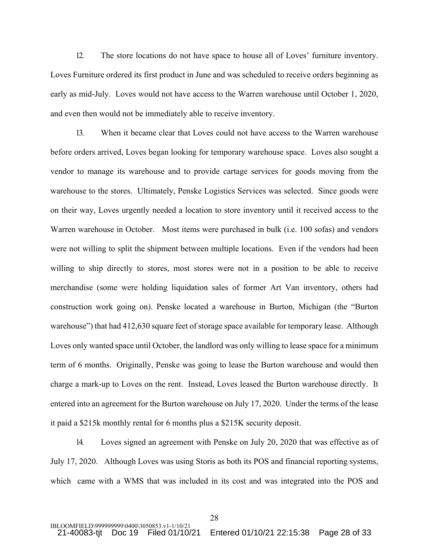12. The store locations do not have space to house all of Loves' furniture inventory. Loves Furniture ordered its first product in June and was scheduled to receive orders beginning as early as mid-July. Loves would not have access to the Warren warehouse until October 1, 2020, and even then would not be immediately able to receive inventory.

13. When it became clear that Loves could not have access to the Warren warehouse before orders arrived, Loves began looking for temporary warehouse space. Loves also sought a vendor to manage its warehouse and to provide cartage services for goods moving from the warehouse to the stores. Ultimately, Penske Logistics Services was selected. Since goods were on their way, Loves urgently needed a location to store inventory until it received access to the Warren warehouse in October. Most items were purchased in bulk (i.e. 100 sofas) and vendors were not willing to split the shipment between multiple locations. Even if the vendors had been willing to ship directly to stores, most stores were not in a position to be able to receive merchandise (some were holding liquidation sales of former Art Van inventory, others had construction work going on). Penske located a warehouse in Burton, Michigan (the "Burton warehouse") that had 412,630 square feet of storage space available for temporary lease. Although Loves only wanted space until October, the landlord was only willing to lease space for a minimum term of 6 months. Originally, Penske was going to lease the Burton warehouse and would then charge a mark-up to Loves on the rent. Instead, Loves leased the Burton warehouse directly. It entered into an agreement for the Burton warehouse on July 17, 2020. Under the terms of the lease it paid a \$215k monthly rental for 6 months plus a \$215K security deposit.

14. Loves signed an agreement with Penske on July 20, 2020 that was effective as of July 17, 2020. Although Loves was using Storis as both its POS and financial reporting systems, which came with a WMS that was included in its cost and was integrated into the POS and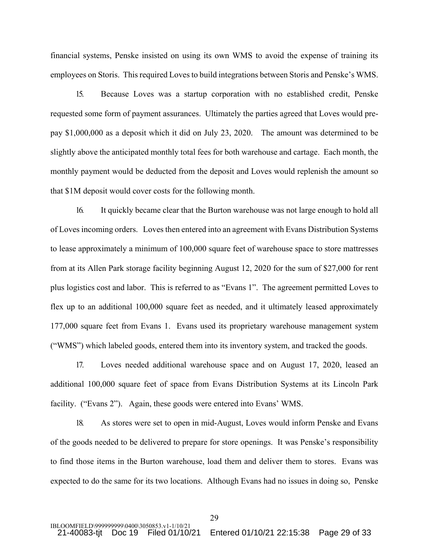financial systems, Penske insisted on using its own WMS to avoid the expense of training its employees on Storis. This required Loves to build integrations between Storis and Penske's WMS.

15. Because Loves was a startup corporation with no established credit, Penske requested some form of payment assurances. Ultimately the parties agreed that Loves would prepay \$1,000,000 as a deposit which it did on July 23, 2020. The amount was determined to be slightly above the anticipated monthly total fees for both warehouse and cartage. Each month, the monthly payment would be deducted from the deposit and Loves would replenish the amount so that \$1M deposit would cover costs for the following month.

16. It quickly became clear that the Burton warehouse was not large enough to hold all of Loves incoming orders. Loves then entered into an agreement with Evans Distribution Systems to lease approximately a minimum of 100,000 square feet of warehouse space to store mattresses from at its Allen Park storage facility beginning August 12, 2020 for the sum of \$27,000 for rent plus logistics cost and labor. This is referred to as "Evans 1". The agreement permitted Loves to flex up to an additional 100,000 square feet as needed, and it ultimately leased approximately 177,000 square feet from Evans 1. Evans used its proprietary warehouse management system ("WMS") which labeled goods, entered them into its inventory system, and tracked the goods.

17. Loves needed additional warehouse space and on August 17, 2020, leased an additional 100,000 square feet of space from Evans Distribution Systems at its Lincoln Park facility. ("Evans 2"). Again, these goods were entered into Evans' WMS.

18. As stores were set to open in mid-August, Loves would inform Penske and Evans of the goods needed to be delivered to prepare for store openings. It was Penske's responsibility to find those items in the Burton warehouse, load them and deliver them to stores. Evans was expected to do the same for its two locations. Although Evans had no issues in doing so, Penske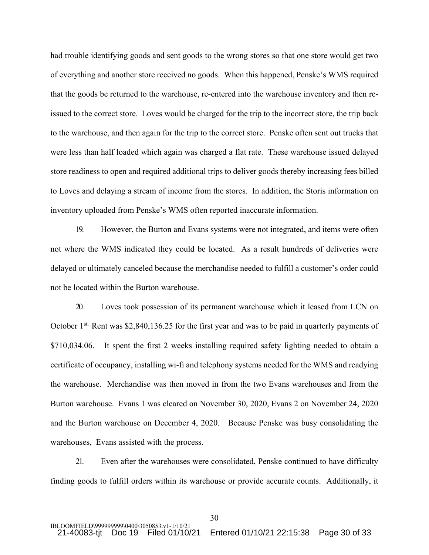had trouble identifying goods and sent goods to the wrong stores so that one store would get two of everything and another store received no goods. When this happened, Penske's WMS required that the goods be returned to the warehouse, re-entered into the warehouse inventory and then reissued to the correct store. Loves would be charged for the trip to the incorrect store, the trip back to the warehouse, and then again for the trip to the correct store. Penske often sent out trucks that were less than half loaded which again was charged a flat rate. These warehouse issued delayed store readiness to open and required additional trips to deliver goods thereby increasing fees billed to Loves and delaying a stream of income from the stores. In addition, the Storis information on inventory uploaded from Penske's WMS often reported inaccurate information.

19. However, the Burton and Evans systems were not integrated, and items were often not where the WMS indicated they could be located. As a result hundreds of deliveries were delayed or ultimately canceled because the merchandise needed to fulfill a customer's order could not be located within the Burton warehouse.

20. Loves took possession of its permanent warehouse which it leased from LCN on October 1<sup>st.</sup> Rent was \$2,840,136.25 for the first year and was to be paid in quarterly payments of \$710,034.06. It spent the first 2 weeks installing required safety lighting needed to obtain a certificate of occupancy, installing wi-fi and telephony systems needed for the WMS and readying the warehouse. Merchandise was then moved in from the two Evans warehouses and from the Burton warehouse. Evans 1 was cleared on November 30, 2020, Evans 2 on November 24, 2020 and the Burton warehouse on December 4, 2020. Because Penske was busy consolidating the warehouses, Evans assisted with the process.

21. Even after the warehouses were consolidated, Penske continued to have difficulty finding goods to fulfill orders within its warehouse or provide accurate counts. Additionally, it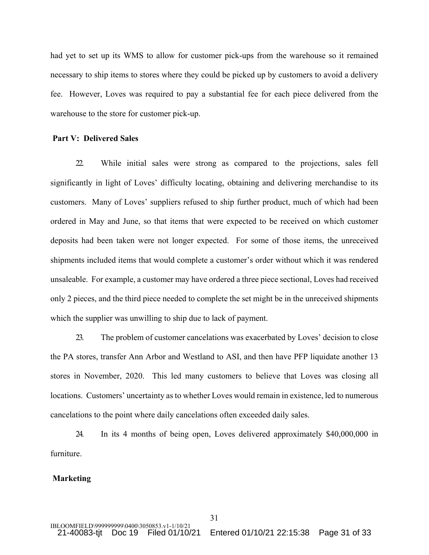had yet to set up its WMS to allow for customer pick-ups from the warehouse so it remained necessary to ship items to stores where they could be picked up by customers to avoid a delivery fee. However, Loves was required to pay a substantial fee for each piece delivered from the warehouse to the store for customer pick-up.

## **Part V: Delivered Sales**

22. While initial sales were strong as compared to the projections, sales fell significantly in light of Loves' difficulty locating, obtaining and delivering merchandise to its customers. Many of Loves' suppliers refused to ship further product, much of which had been ordered in May and June, so that items that were expected to be received on which customer deposits had been taken were not longer expected. For some of those items, the unreceived shipments included items that would complete a customer's order without which it was rendered unsaleable. For example, a customer may have ordered a three piece sectional, Loves had received only 2 pieces, and the third piece needed to complete the set might be in the unreceived shipments which the supplier was unwilling to ship due to lack of payment.

23. The problem of customer cancelations was exacerbated by Loves' decision to close the PA stores, transfer Ann Arbor and Westland to ASI, and then have PFP liquidate another 13 stores in November, 2020. This led many customers to believe that Loves was closing all locations. Customers' uncertainty as to whether Loves would remain in existence, led to numerous cancelations to the point where daily cancelations often exceeded daily sales.

24. In its 4 months of being open, Loves delivered approximately \$40,000,000 in furniture.

#### **Marketing**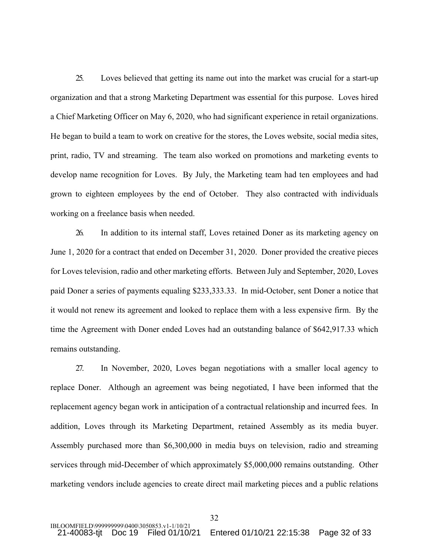25. Loves believed that getting its name out into the market was crucial for a start-up organization and that a strong Marketing Department was essential for this purpose. Loves hired a Chief Marketing Officer on May 6, 2020, who had significant experience in retail organizations. He began to build a team to work on creative for the stores, the Loves website, social media sites, print, radio, TV and streaming. The team also worked on promotions and marketing events to develop name recognition for Loves. By July, the Marketing team had ten employees and had grown to eighteen employees by the end of October. They also contracted with individuals working on a freelance basis when needed.

26. In addition to its internal staff, Loves retained Doner as its marketing agency on June 1, 2020 for a contract that ended on December 31, 2020. Doner provided the creative pieces for Loves television, radio and other marketing efforts. Between July and September, 2020, Loves paid Doner a series of payments equaling \$233,333.33. In mid-October, sent Doner a notice that it would not renew its agreement and looked to replace them with a less expensive firm. By the time the Agreement with Doner ended Loves had an outstanding balance of \$642,917.33 which remains outstanding.

27. In November, 2020, Loves began negotiations with a smaller local agency to replace Doner. Although an agreement was being negotiated, I have been informed that the replacement agency began work in anticipation of a contractual relationship and incurred fees. In addition, Loves through its Marketing Department, retained Assembly as its media buyer. Assembly purchased more than \$6,300,000 in media buys on television, radio and streaming services through mid-December of which approximately \$5,000,000 remains outstanding. Other marketing vendors include agencies to create direct mail marketing pieces and a public relations